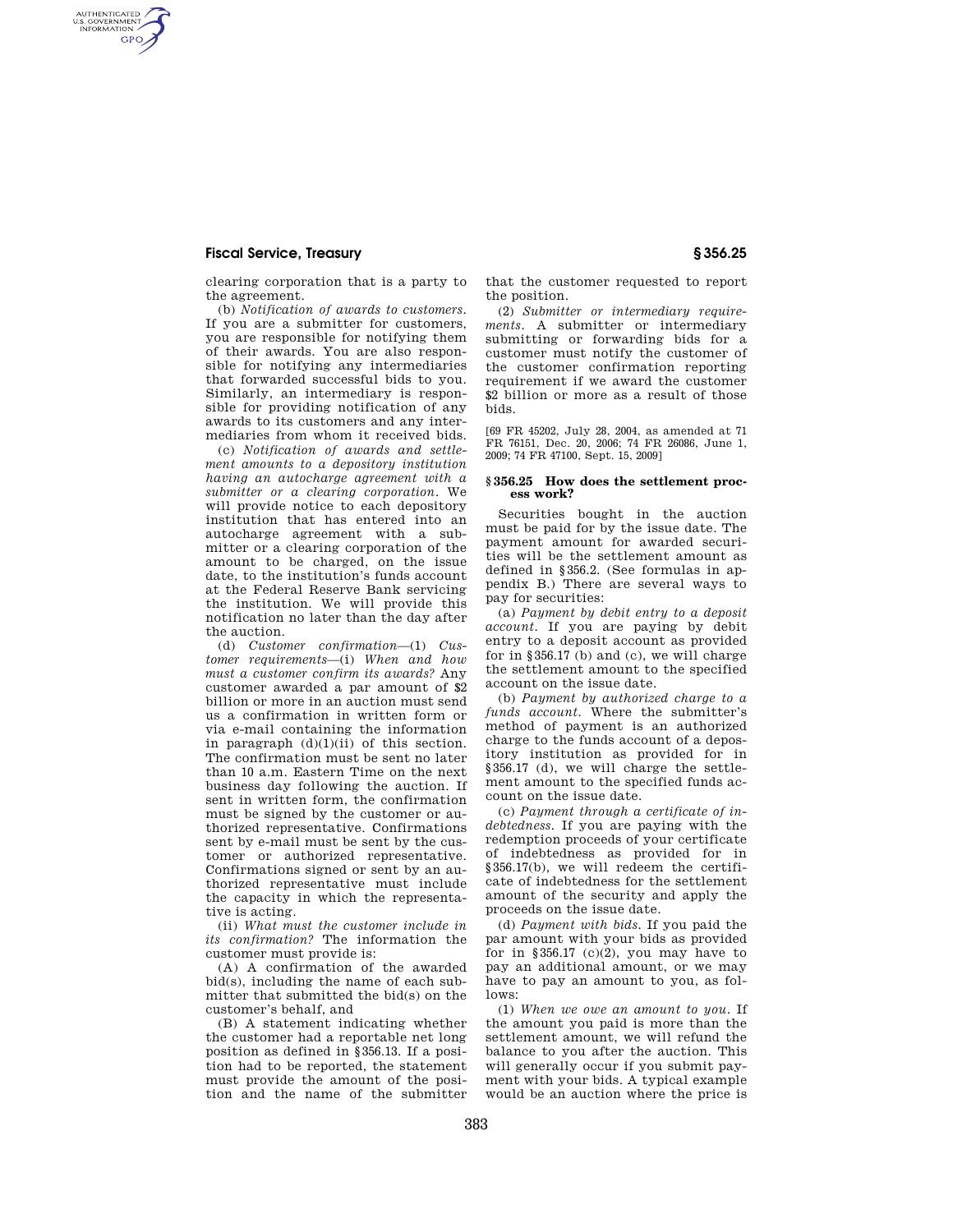## **Fiscal Service, Treasury § 356.25**

AUTHENTICATED<br>U.S. GOVERNMENT<br>INFORMATION **GPO** 

> clearing corporation that is a party to the agreement.

> (b) *Notification of awards to customers.*  If you are a submitter for customers, you are responsible for notifying them of their awards. You are also responsible for notifying any intermediaries that forwarded successful bids to you. Similarly, an intermediary is responsible for providing notification of any awards to its customers and any intermediaries from whom it received bids.

(c) *Notification of awards and settlement amounts to a depository institution having an autocharge agreement with a submitter or a clearing corporation.* We will provide notice to each depository institution that has entered into an autocharge agreement with a submitter or a clearing corporation of the amount to be charged, on the issue date, to the institution's funds account at the Federal Reserve Bank servicing the institution. We will provide this notification no later than the day after the auction.

(d) *Customer confirmation*—(1) *Customer requirements*—(i) *When and how must a customer confirm its awards?* Any customer awarded a par amount of \$2 billion or more in an auction must send us a confirmation in written form or via e-mail containing the information in paragraph  $(d)(1)(ii)$  of this section. The confirmation must be sent no later than 10 a.m. Eastern Time on the next business day following the auction. If sent in written form, the confirmation must be signed by the customer or authorized representative. Confirmations sent by e-mail must be sent by the customer or authorized representative. Confirmations signed or sent by an authorized representative must include the capacity in which the representative is acting.

(ii) *What must the customer include in its confirmation?* The information the customer must provide is:

(A) A confirmation of the awarded bid(s), including the name of each submitter that submitted the bid(s) on the customer's behalf, and

(B) A statement indicating whether the customer had a reportable net long position as defined in §356.13. If a position had to be reported, the statement must provide the amount of the position and the name of the submitter

that the customer requested to report the position.

(2) *Submitter or intermediary requirements.* A submitter or intermediary submitting or forwarding bids for a customer must notify the customer of the customer confirmation reporting requirement if we award the customer \$2 billion or more as a result of those bids.

[69 FR 45202, July 28, 2004, as amended at 71 FR 76151, Dec. 20, 2006; 74 FR 26086, June 1, 2009; 74 FR 47100, Sept. 15, 2009]

#### **§ 356.25 How does the settlement process work?**

Securities bought in the auction must be paid for by the issue date. The payment amount for awarded securities will be the settlement amount as defined in §356.2. (See formulas in appendix B.) There are several ways to pay for securities:

(a) *Payment by debit entry to a deposit account.* If you are paying by debit entry to a deposit account as provided for in §356.17 (b) and (c), we will charge the settlement amount to the specified account on the issue date.

(b) *Payment by authorized charge to a funds account.* Where the submitter's method of payment is an authorized charge to the funds account of a depository institution as provided for in §356.17 (d), we will charge the settlement amount to the specified funds account on the issue date.

(c) *Payment through a certificate of indebtedness.* If you are paying with the redemption proceeds of your certificate of indebtedness as provided for in §356.17(b), we will redeem the certificate of indebtedness for the settlement amount of the security and apply the proceeds on the issue date.

(d) *Payment with bids.* If you paid the par amount with your bids as provided for in §356.17  $(c)(2)$ , you may have to pay an additional amount, or we may have to pay an amount to you, as follows:

(1) *When we owe an amount to you.* If the amount you paid is more than the settlement amount, we will refund the balance to you after the auction. This will generally occur if you submit payment with your bids. A typical example would be an auction where the price is